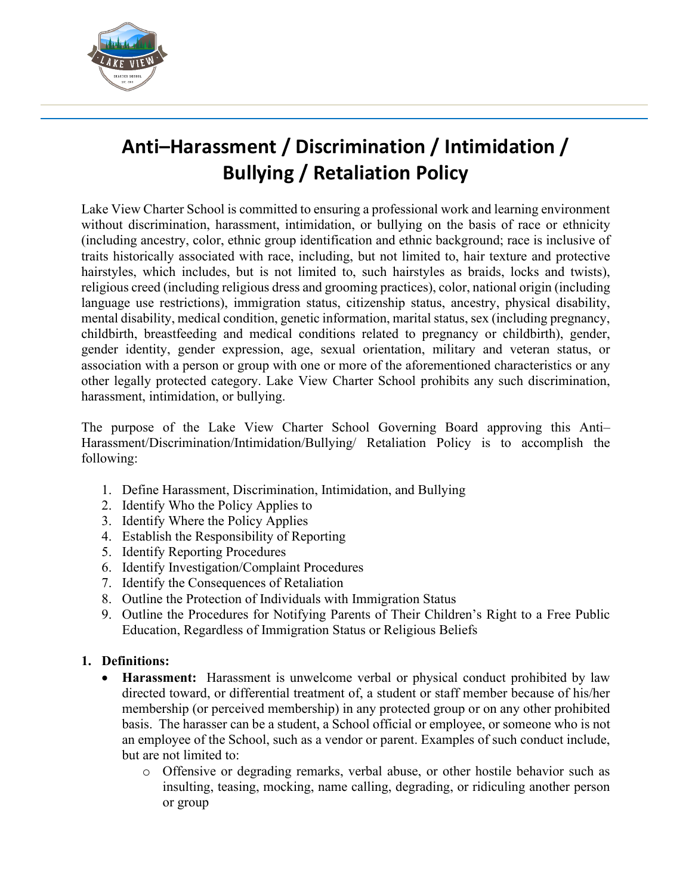

## **Anti–Harassment / Discrimination / Intimidation / Bullying / Retaliation Policy**

Lake View Charter School is committed to ensuring a professional work and learning environment without discrimination, harassment, intimidation, or bullying on the basis of race or ethnicity (including ancestry, color, ethnic group identification and ethnic background; race is inclusive of traits historically associated with race, including, but not limited to, hair texture and protective hairstyles, which includes, but is not limited to, such hairstyles as braids, locks and twists), religious creed (including religious dress and grooming practices), color, national origin (including language use restrictions), immigration status, citizenship status, ancestry, physical disability, mental disability, medical condition, genetic information, marital status, sex (including pregnancy, childbirth, breastfeeding and medical conditions related to pregnancy or childbirth), gender, gender identity, gender expression, age, sexual orientation, military and veteran status, or association with a person or group with one or more of the aforementioned characteristics or any other legally protected category. Lake View Charter School prohibits any such discrimination, harassment, intimidation, or bullying.

The purpose of the Lake View Charter School Governing Board approving this Anti– Harassment/Discrimination/Intimidation/Bullying/ Retaliation Policy is to accomplish the following:

- 1. Define Harassment, Discrimination, Intimidation, and Bullying
- 2. Identify Who the Policy Applies to
- 3. Identify Where the Policy Applies
- 4. Establish the Responsibility of Reporting
- 5. Identify Reporting Procedures
- 6. Identify Investigation/Complaint Procedures
- 7. Identify the Consequences of Retaliation
- 8. Outline the Protection of Individuals with Immigration Status
- 9. Outline the Procedures for Notifying Parents of Their Children's Right to a Free Public Education, Regardless of Immigration Status or Religious Beliefs

## **1. Definitions:**

- **Harassment:** Harassment is unwelcome verbal or physical conduct prohibited by law directed toward, or differential treatment of, a student or staff member because of his/her membership (or perceived membership) in any protected group or on any other prohibited basis. The harasser can be a student, a School official or employee, or someone who is not an employee of the School, such as a vendor or parent. Examples of such conduct include, but are not limited to:
	- o Offensive or degrading remarks, verbal abuse, or other hostile behavior such as insulting, teasing, mocking, name calling, degrading, or ridiculing another person or group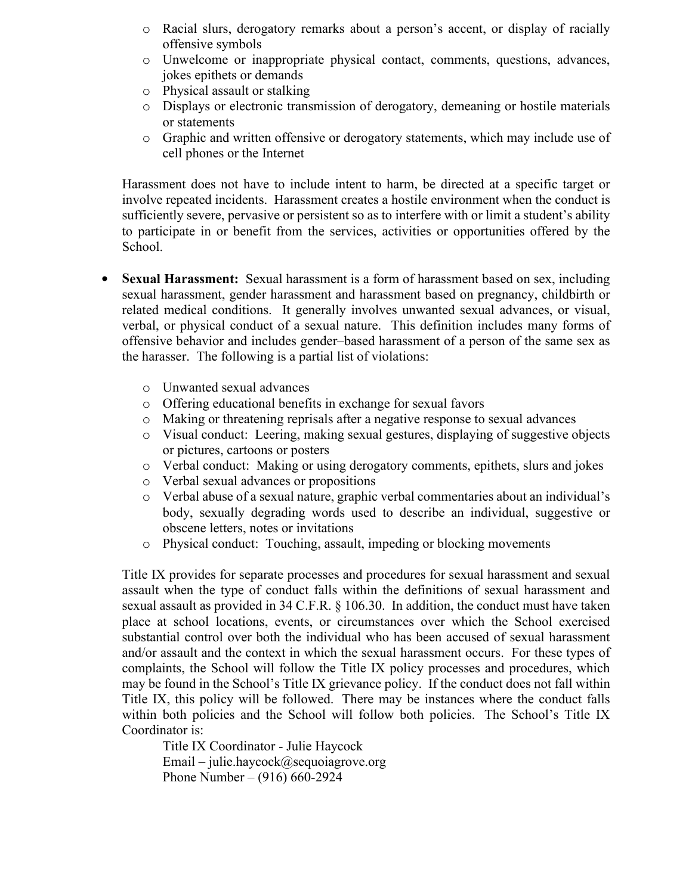- o Racial slurs, derogatory remarks about a person's accent, or display of racially offensive symbols
- o Unwelcome or inappropriate physical contact, comments, questions, advances, jokes epithets or demands
- o Physical assault or stalking
- o Displays or electronic transmission of derogatory, demeaning or hostile materials or statements
- o Graphic and written offensive or derogatory statements, which may include use of cell phones or the Internet

Harassment does not have to include intent to harm, be directed at a specific target or involve repeated incidents. Harassment creates a hostile environment when the conduct is sufficiently severe, pervasive or persistent so as to interfere with or limit a student's ability to participate in or benefit from the services, activities or opportunities offered by the School.

- **Sexual Harassment:** Sexual harassment is a form of harassment based on sex, including sexual harassment, gender harassment and harassment based on pregnancy, childbirth or related medical conditions. It generally involves unwanted sexual advances, or visual, verbal, or physical conduct of a sexual nature. This definition includes many forms of offensive behavior and includes gender–based harassment of a person of the same sex as the harasser. The following is a partial list of violations:
	- o Unwanted sexual advances
	- o Offering educational benefits in exchange for sexual favors
	- o Making or threatening reprisals after a negative response to sexual advances
	- o Visual conduct: Leering, making sexual gestures, displaying of suggestive objects or pictures, cartoons or posters
	- o Verbal conduct: Making or using derogatory comments, epithets, slurs and jokes
	- o Verbal sexual advances or propositions
	- o Verbal abuse of a sexual nature, graphic verbal commentaries about an individual's body, sexually degrading words used to describe an individual, suggestive or obscene letters, notes or invitations
	- o Physical conduct: Touching, assault, impeding or blocking movements

Title IX provides for separate processes and procedures for sexual harassment and sexual assault when the type of conduct falls within the definitions of sexual harassment and sexual assault as provided in 34 C.F.R. § 106.30. In addition, the conduct must have taken place at school locations, events, or circumstances over which the School exercised substantial control over both the individual who has been accused of sexual harassment and/or assault and the context in which the sexual harassment occurs. For these types of complaints, the School will follow the Title IX policy processes and procedures, which may be found in the School's Title IX grievance policy. If the conduct does not fall within Title IX, this policy will be followed. There may be instances where the conduct falls within both policies and the School will follow both policies. The School's Title IX Coordinator is:

Title IX Coordinator - Julie Haycock Email – julie.haycock@sequoiagrove.org Phone Number – (916) 660-2924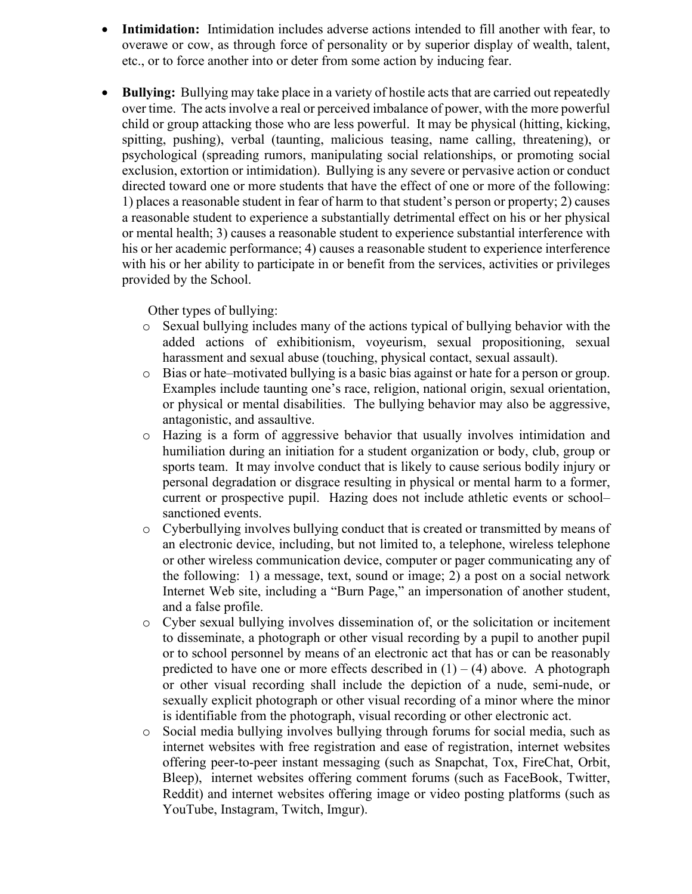- **Intimidation:** Intimidation includes adverse actions intended to fill another with fear, to overawe or cow, as through force of personality or by superior display of wealth, talent, etc., or to force another into or deter from some action by inducing fear.
- **Bullying:** Bullying may take place in a variety of hostile acts that are carried out repeatedly over time. The acts involve a real or perceived imbalance of power, with the more powerful child or group attacking those who are less powerful. It may be physical (hitting, kicking, spitting, pushing), verbal (taunting, malicious teasing, name calling, threatening), or psychological (spreading rumors, manipulating social relationships, or promoting social exclusion, extortion or intimidation). Bullying is any severe or pervasive action or conduct directed toward one or more students that have the effect of one or more of the following: 1) places a reasonable student in fear of harm to that student's person or property; 2) causes a reasonable student to experience a substantially detrimental effect on his or her physical or mental health; 3) causes a reasonable student to experience substantial interference with his or her academic performance; 4) causes a reasonable student to experience interference with his or her ability to participate in or benefit from the services, activities or privileges provided by the School.

Other types of bullying:

- o Sexual bullying includes many of the actions typical of bullying behavior with the added actions of exhibitionism, voyeurism, sexual propositioning, sexual harassment and sexual abuse (touching, physical contact, sexual assault).
- o Bias or hate–motivated bullying is a basic bias against or hate for a person or group. Examples include taunting one's race, religion, national origin, sexual orientation, or physical or mental disabilities. The bullying behavior may also be aggressive, antagonistic, and assaultive.
- o Hazing is a form of aggressive behavior that usually involves intimidation and humiliation during an initiation for a student organization or body, club, group or sports team. It may involve conduct that is likely to cause serious bodily injury or personal degradation or disgrace resulting in physical or mental harm to a former, current or prospective pupil. Hazing does not include athletic events or school– sanctioned events.
- o Cyberbullying involves bullying conduct that is created or transmitted by means of an electronic device, including, but not limited to, a telephone, wireless telephone or other wireless communication device, computer or pager communicating any of the following: 1) a message, text, sound or image; 2) a post on a social network Internet Web site, including a "Burn Page," an impersonation of another student, and a false profile.
- o Cyber sexual bullying involves dissemination of, or the solicitation or incitement to disseminate, a photograph or other visual recording by a pupil to another pupil or to school personnel by means of an electronic act that has or can be reasonably predicted to have one or more effects described in  $(1) - (4)$  above. A photograph or other visual recording shall include the depiction of a nude, semi-nude, or sexually explicit photograph or other visual recording of a minor where the minor is identifiable from the photograph, visual recording or other electronic act.
- o Social media bullying involves bullying through forums for social media, such as internet websites with free registration and ease of registration, internet websites offering peer-to-peer instant messaging (such as Snapchat, Tox, FireChat, Orbit, Bleep), internet websites offering comment forums (such as FaceBook, Twitter, Reddit) and internet websites offering image or video posting platforms (such as YouTube, Instagram, Twitch, Imgur).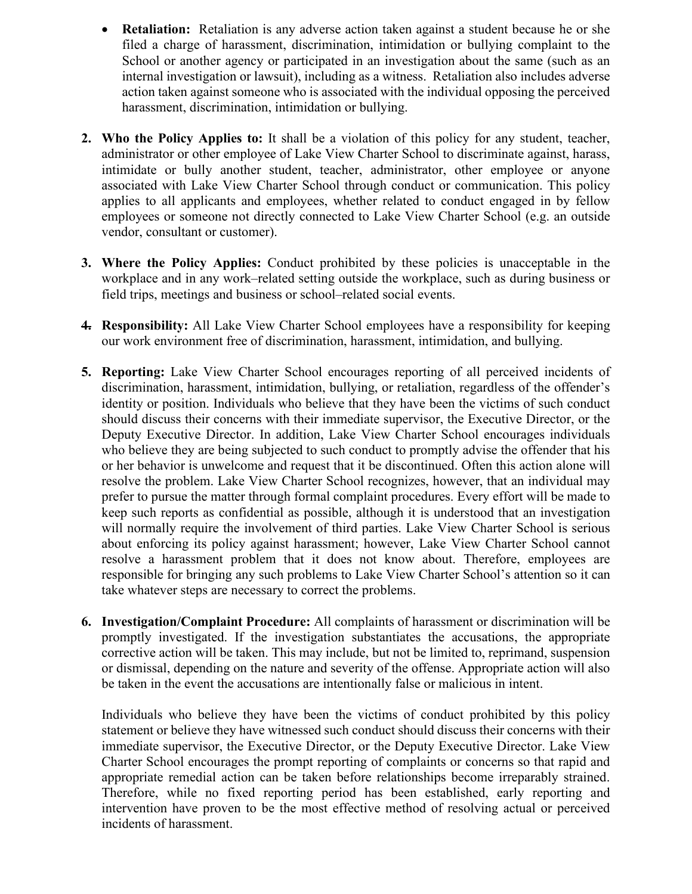- **Retaliation:** Retaliation is any adverse action taken against a student because he or she filed a charge of harassment, discrimination, intimidation or bullying complaint to the School or another agency or participated in an investigation about the same (such as an internal investigation or lawsuit), including as a witness. Retaliation also includes adverse action taken against someone who is associated with the individual opposing the perceived harassment, discrimination, intimidation or bullying.
- **2. Who the Policy Applies to:** It shall be a violation of this policy for any student, teacher, administrator or other employee of Lake View Charter School to discriminate against, harass, intimidate or bully another student, teacher, administrator, other employee or anyone associated with Lake View Charter School through conduct or communication. This policy applies to all applicants and employees, whether related to conduct engaged in by fellow employees or someone not directly connected to Lake View Charter School (e.g. an outside vendor, consultant or customer).
- **3. Where the Policy Applies:** Conduct prohibited by these policies is unacceptable in the workplace and in any work–related setting outside the workplace, such as during business or field trips, meetings and business or school–related social events.
- **4. Responsibility:** All Lake View Charter School employees have a responsibility for keeping our work environment free of discrimination, harassment, intimidation, and bullying.
- **5. Reporting:** Lake View Charter School encourages reporting of all perceived incidents of discrimination, harassment, intimidation, bullying, or retaliation, regardless of the offender's identity or position. Individuals who believe that they have been the victims of such conduct should discuss their concerns with their immediate supervisor, the Executive Director, or the Deputy Executive Director. In addition, Lake View Charter School encourages individuals who believe they are being subjected to such conduct to promptly advise the offender that his or her behavior is unwelcome and request that it be discontinued. Often this action alone will resolve the problem. Lake View Charter School recognizes, however, that an individual may prefer to pursue the matter through formal complaint procedures. Every effort will be made to keep such reports as confidential as possible, although it is understood that an investigation will normally require the involvement of third parties. Lake View Charter School is serious about enforcing its policy against harassment; however, Lake View Charter School cannot resolve a harassment problem that it does not know about. Therefore, employees are responsible for bringing any such problems to Lake View Charter School's attention so it can take whatever steps are necessary to correct the problems.
- **6. Investigation/Complaint Procedure:** All complaints of harassment or discrimination will be promptly investigated. If the investigation substantiates the accusations, the appropriate corrective action will be taken. This may include, but not be limited to, reprimand, suspension or dismissal, depending on the nature and severity of the offense. Appropriate action will also be taken in the event the accusations are intentionally false or malicious in intent.

Individuals who believe they have been the victims of conduct prohibited by this policy statement or believe they have witnessed such conduct should discuss their concerns with their immediate supervisor, the Executive Director, or the Deputy Executive Director. Lake View Charter School encourages the prompt reporting of complaints or concerns so that rapid and appropriate remedial action can be taken before relationships become irreparably strained. Therefore, while no fixed reporting period has been established, early reporting and intervention have proven to be the most effective method of resolving actual or perceived incidents of harassment.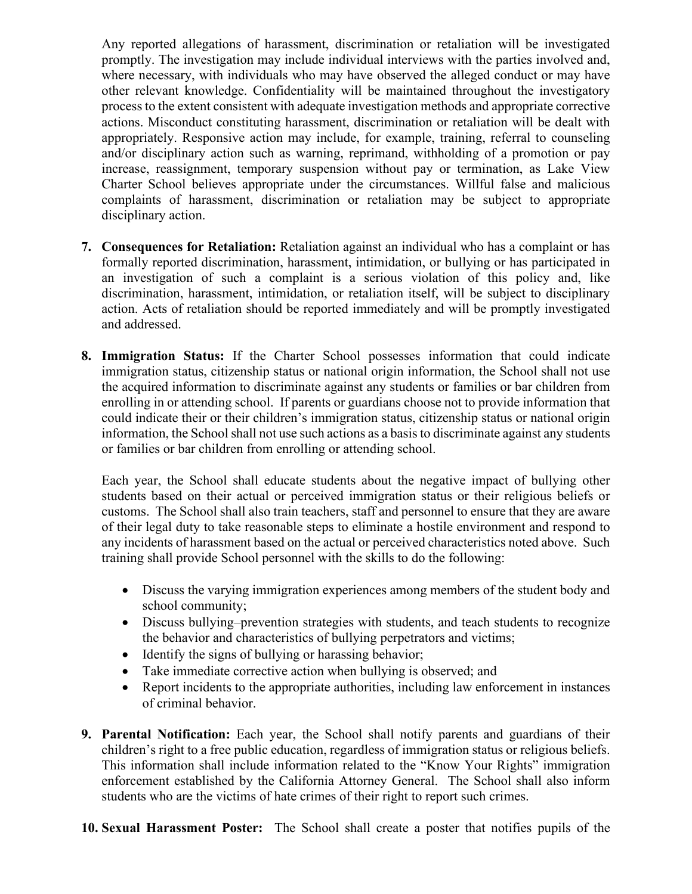Any reported allegations of harassment, discrimination or retaliation will be investigated promptly. The investigation may include individual interviews with the parties involved and, where necessary, with individuals who may have observed the alleged conduct or may have other relevant knowledge. Confidentiality will be maintained throughout the investigatory process to the extent consistent with adequate investigation methods and appropriate corrective actions. Misconduct constituting harassment, discrimination or retaliation will be dealt with appropriately. Responsive action may include, for example, training, referral to counseling and/or disciplinary action such as warning, reprimand, withholding of a promotion or pay increase, reassignment, temporary suspension without pay or termination, as Lake View Charter School believes appropriate under the circumstances. Willful false and malicious complaints of harassment, discrimination or retaliation may be subject to appropriate disciplinary action.

- **7. Consequences for Retaliation:** Retaliation against an individual who has a complaint or has formally reported discrimination, harassment, intimidation, or bullying or has participated in an investigation of such a complaint is a serious violation of this policy and, like discrimination, harassment, intimidation, or retaliation itself, will be subject to disciplinary action. Acts of retaliation should be reported immediately and will be promptly investigated and addressed.
- **8. Immigration Status:** If the Charter School possesses information that could indicate immigration status, citizenship status or national origin information, the School shall not use the acquired information to discriminate against any students or families or bar children from enrolling in or attending school. If parents or guardians choose not to provide information that could indicate their or their children's immigration status, citizenship status or national origin information, the School shall not use such actions as a basis to discriminate against any students or families or bar children from enrolling or attending school.

Each year, the School shall educate students about the negative impact of bullying other students based on their actual or perceived immigration status or their religious beliefs or customs. The School shall also train teachers, staff and personnel to ensure that they are aware of their legal duty to take reasonable steps to eliminate a hostile environment and respond to any incidents of harassment based on the actual or perceived characteristics noted above. Such training shall provide School personnel with the skills to do the following:

- Discuss the varying immigration experiences among members of the student body and school community;
- Discuss bullying–prevention strategies with students, and teach students to recognize the behavior and characteristics of bullying perpetrators and victims;
- Identify the signs of bullying or harassing behavior;
- Take immediate corrective action when bullying is observed; and
- Report incidents to the appropriate authorities, including law enforcement in instances of criminal behavior.
- **9. Parental Notification:** Each year, the School shall notify parents and guardians of their children's right to a free public education, regardless of immigration status or religious beliefs. This information shall include information related to the "Know Your Rights" immigration enforcement established by the California Attorney General. The School shall also inform students who are the victims of hate crimes of their right to report such crimes.
- **10. Sexual Harassment Poster:** The School shall create a poster that notifies pupils of the